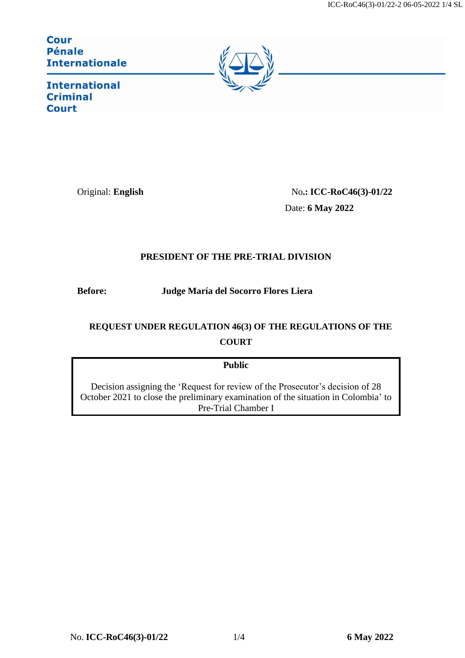ICC-RoC46(3)-01/22-2 06-05-2022 1/4 SL

**Cour Pénale Internationale** 



**International Criminal Court** 

Original: **English** No.: **ICC-RoC46(3)-01/22** Date: **6 May 2022**

## **PRESIDENT OF THE PRE-TRIAL DIVISION**

**Before: Judge María del Socorro [Flores Liera](https://asp.icc-cpi.int/en_menus/asp/elections/judges/2020/Nominations/Pages/Flores%20Liera.aspx)** 

## **REQUEST UNDER REGULATION 46(3) OF THE REGULATIONS OF THE COURT**

## **Public**

Decision assigning the 'Request for review of the Prosecutor's decision of 28 October 2021 to close the preliminary examination of the situation in Colombia' to Pre-Trial Chamber I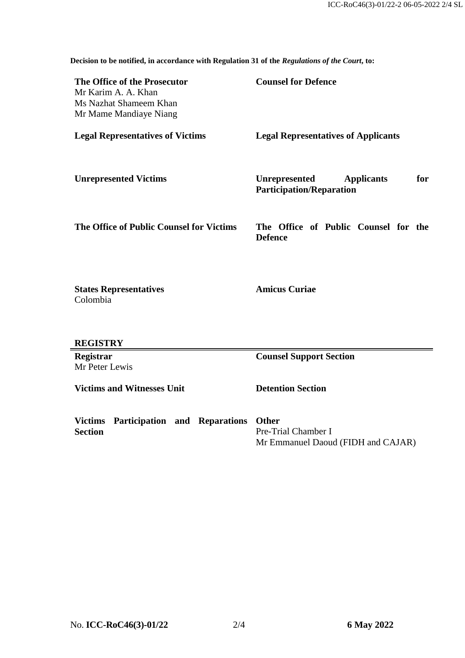**Decision to be notified, in accordance with Regulation 31 of the** *Regulations of the Court***, to:**

| The Office of the Prosecutor<br>Mr Karim A. A. Khan<br>Ms Nazhat Shameem Khan<br>Mr Mame Mandiaye Niang | <b>Counsel for Defence</b>                                                          |
|---------------------------------------------------------------------------------------------------------|-------------------------------------------------------------------------------------|
| <b>Legal Representatives of Victims</b>                                                                 | <b>Legal Representatives of Applicants</b>                                          |
| <b>Unrepresented Victims</b>                                                                            | <b>Unrepresented</b><br>for<br><b>Applicants</b><br><b>Participation/Reparation</b> |
| The Office of Public Counsel for Victims                                                                | The Office of Public Counsel for the<br><b>Defence</b>                              |
| <b>States Representatives</b><br>Colombia                                                               | <b>Amicus Curiae</b>                                                                |
| <b>REGISTRY</b>                                                                                         |                                                                                     |
| Registrar<br>Mr Peter Lewis                                                                             | <b>Counsel Support Section</b>                                                      |
| <b>Victims and Witnesses Unit</b>                                                                       | <b>Detention Section</b>                                                            |
| Participation and Reparations<br><b>Victims</b><br><b>Section</b>                                       | <b>Other</b><br>Pre-Trial Chamber I<br>Mr Emmanuel Daoud (FIDH and CAJAR)           |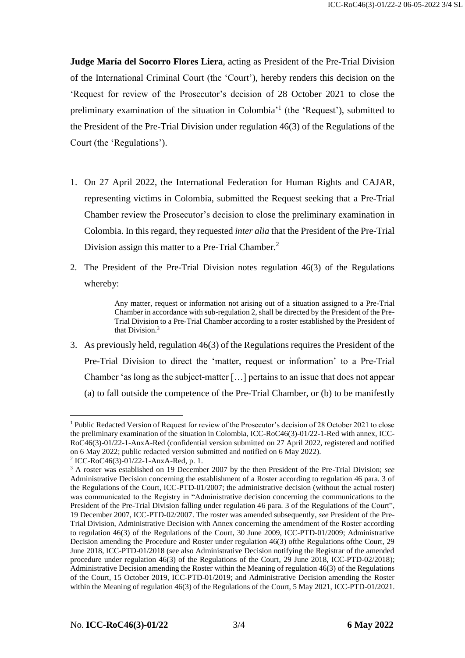**Judge María del Socorro Flores Liera**, acting as President of the Pre-Trial Division of the International Criminal Court (the 'Court'), hereby renders this decision on the 'Request for review of the Prosecutor's decision of 28 October 2021 to close the preliminary examination of the situation in Colombia<sup>'1</sup> (the 'Request'), submitted to the President of the Pre-Trial Division under regulation 46(3) of the Regulations of the Court (the 'Regulations').

- 1. On 27 April 2022, the International Federation for Human Rights and CAJAR, representing victims in Colombia, submitted the Request seeking that a Pre-Trial Chamber review the Prosecutor's decision to close the preliminary examination in Colombia. In this regard, they requested *inter alia* that the President of the Pre-Trial Division assign this matter to a Pre-Trial Chamber.<sup>2</sup>
- 2. The President of the Pre-Trial Division notes regulation 46(3) of the Regulations whereby:

Any matter, request or information not arising out of a situation assigned to a Pre-Trial Chamber in accordance with sub-regulation 2, shall be directed by the President of the Pre-Trial Division to a Pre-Trial Chamber according to a roster established by the President of that Division.<sup>3</sup>

3. As previously held, regulation 46(3) of the Regulations requires the President of the Pre-Trial Division to direct the 'matter, request or information' to a Pre-Trial Chamber 'as long as the subject-matter […] pertains to an issue that does not appear (a) to fall outside the competence of the Pre-Trial Chamber, or (b) to be manifestly

1

<sup>&</sup>lt;sup>1</sup> Public Redacted Version of Request for review of the Prosecutor's decision of 28 October 2021 to close the preliminary examination of the situation in Colombia, ICC-RoC46(3)-01/22-1-Red with annex, ICC-RoC46(3)-01/22-1-AnxA-Red (confidential version submitted on 27 April 2022, registered and notified on 6 May 2022; public redacted version submitted and notified on 6 May 2022).

<sup>2</sup> ICC-RoC46(3)-01/22-1-AnxA-Red, p. 1.

<sup>3</sup> A roster was established on 19 December 2007 by the then President of the Pre-Trial Division; *see*  Administrative Decision concerning the establishment of a Roster according to regulation 46 para. 3 of the Regulations of the Court, ICC-PTD-01/2007; the administrative decision (without the actual roster) was communicated to the Registry in "Administrative decision concerning the communications to the President of the Pre-Trial Division falling under regulation 46 para. 3 of the Regulations of the Court", 19 December 2007, ICC-PTD-02/2007. The roster was amended subsequently, *see* President of the Pre-Trial Division, Administrative Decision with Annex concerning the amendment of the Roster according to regulation 46(3) of the Regulations of the Court, 30 June 2009, ICC-PTD-01/2009; Administrative Decision amending the Procedure and Roster under regulation 46(3) ofthe Regulations ofthe Court, 29 June 2018, ICC-PTD-01/2018 (see also Administrative Decision notifying the Registrar of the amended procedure under regulation 46(3) of the Regulations of the Court, 29 June 2018, ICC-PTD-02/2018); Administrative Decision amending the Roster within the Meaning of regulation 46(3) of the Regulations of the Court, 15 October 2019, ICC-PTD-01/2019; and Administrative Decision amending the Roster within the Meaning of regulation 46(3) of the Regulations of the Court, 5 May 2021, ICC-PTD-01/2021.